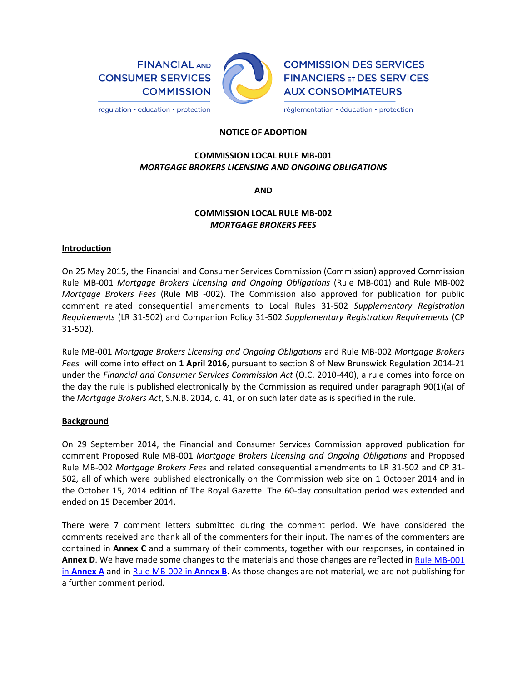**FINANCIAL AND CONSUMER SERVICES COMMISSION** 



**COMMISSION DES SERVICES FINANCIERS ET DES SERVICES AUX CONSOMMATEURS** 

réglementation · éducation · protection

### **NOTICE OF ADOPTION**

# **COMMISSION LOCAL RULE MB-001** *MORTGAGE BROKERS LICENSING AND ONGOING OBLIGATIONS*

**AND**

# **COMMISSION LOCAL RULE MB-002** *MORTGAGE BROKERS FEES*

### **Introduction**

On 25 May 2015, the Financial and Consumer Services Commission (Commission) approved Commission Rule MB-001 *Mortgage Brokers Licensing and Ongoing Obligations* (Rule MB-001) and Rule MB-002 *Mortgage Brokers Fees* (Rule MB -002). The Commission also approved for publication for public comment related consequential amendments to Local Rules 31-502 *Supplementary Registration Requirements* (LR 31-502) and Companion Policy 31-502 *Supplementary Registration Requirements* (CP 31-502)*.*

Rule MB-001 *Mortgage Brokers Licensing and Ongoing Obligations* and Rule MB-002 *Mortgage Brokers Fees* will come into effect on **1 April 2016**, pursuant to section 8 of New Brunswick Regulation 2014-21 under the *Financial and Consumer Services Commission Act* (O.C. 2010-440), a rule comes into force on the day the rule is published electronically by the Commission as required under paragraph 90(1)(a) of the *Mortgage Brokers Act*, S.N.B. 2014, c. 41, or on such later date as is specified in the rule.

### **Background**

On 29 September 2014, the Financial and Consumer Services Commission approved publication for comment Proposed Rule MB-001 *Mortgage Brokers Licensing and Ongoing Obligations* and Proposed Rule MB-002 *Mortgage Brokers Fees* and related consequential amendments to LR 31-502 and CP 31- 502*,* all of which were published electronically on the Commission web site on 1 October 2014 and in the October 15, 2014 edition of The Royal Gazette. The 60-day consultation period was extended and ended on 15 December 2014.

There were 7 comment letters submitted during the comment period. We have considered the comments received and thank all of the commenters for their input. The names of the commenters are contained in **Annex C** and a summary of their comments, together with our responses, in contained in **Annex D**. We have made some changes to the materials and those changes are reflected in [Rule MB-001](http://cms.bigsanto.com/Tools/file_direct_link.html?node_id=35918781)  in **[Annex A](http://cms.bigsanto.com/Tools/file_direct_link.html?node_id=35918781)** and in [Rule MB-002 in](http://cms.bigsanto.com/Tools/file_direct_link.html?node_id=35918791) **Annex B**. As those changes are not material, we are not publishing for a further comment period.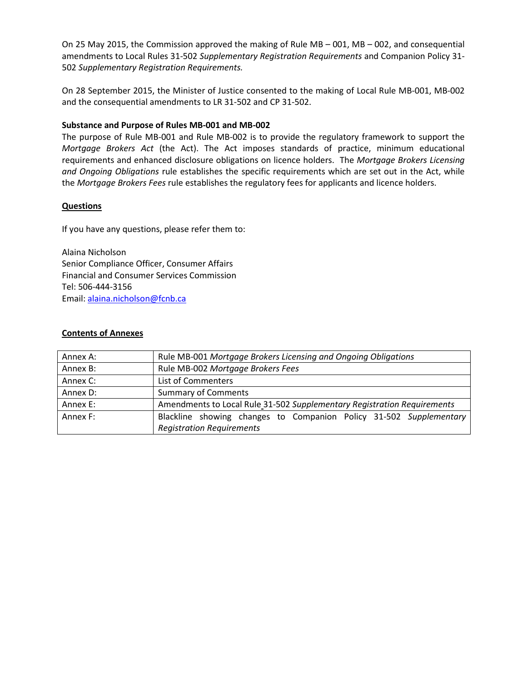On 25 May 2015, the Commission approved the making of Rule MB – 001, MB – 002, and consequential amendments to Local Rules 31-502 *Supplementary Registration Requirements* and Companion Policy 31- 502 *Supplementary Registration Requirements.*

On 28 September 2015, the Minister of Justice consented to the making of Local Rule MB-001, MB-002 and the consequential amendments to LR 31-502 and CP 31-502.

## **Substance and Purpose of Rules MB-001 and MB-002**

The purpose of Rule MB-001 and Rule MB-002 is to provide the regulatory framework to support the *Mortgage Brokers Act* (the Act). The Act imposes standards of practice, minimum educational requirements and enhanced disclosure obligations on licence holders. The *Mortgage Brokers Licensing and Ongoing Obligations* rule establishes the specific requirements which are set out in the Act, while the *Mortgage Brokers Fees* rule establishes the regulatory fees for applicants and licence holders.

### **Questions**

If you have any questions, please refer them to:

Alaina Nicholson Senior Compliance Officer, Consumer Affairs Financial and Consumer Services Commission Tel: 506-444-3156 Email: [alaina.nicholson@fcnb.ca](mailto:alaina.nicholson@fcnb.ca)

### **Contents of Annexes**

| Annex A: | Rule MB-001 Mortgage Brokers Licensing and Ongoing Obligations          |  |  |
|----------|-------------------------------------------------------------------------|--|--|
| Annex B: | Rule MB-002 Mortgage Brokers Fees                                       |  |  |
| Annex C: | List of Commenters                                                      |  |  |
| Annex D: | <b>Summary of Comments</b>                                              |  |  |
| Annex E: | Amendments to Local Rule 31-502 Supplementary Registration Requirements |  |  |
| Annex F: | Blackline showing changes to Companion Policy 31-502 Supplementary      |  |  |
|          | <b>Registration Requirements</b>                                        |  |  |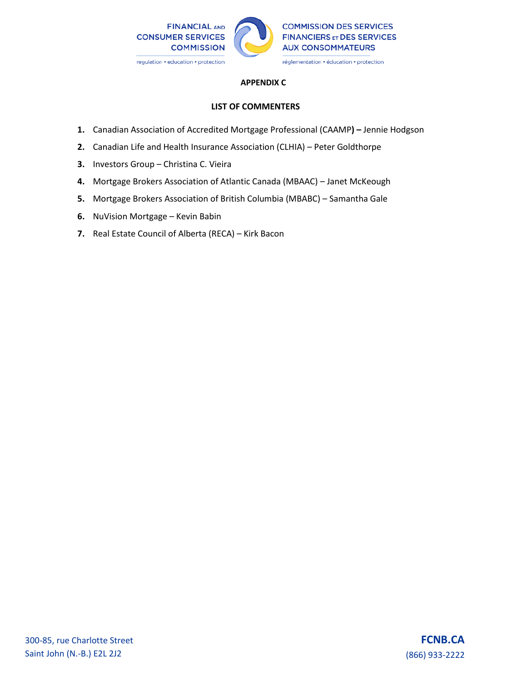

## **APPENDIX C**

# **LIST OF COMMENTERS**

- **1.** Canadian Association of Accredited Mortgage Professional (CAAMP**) –** Jennie Hodgson
- **2.** Canadian Life and Health Insurance Association (CLHIA) Peter Goldthorpe
- **3.** Investors Group Christina C. Vieira
- **4.** Mortgage Brokers Association of Atlantic Canada (MBAAC) Janet McKeough
- **5.** Mortgage Brokers Association of British Columbia (MBABC) Samantha Gale
- **6.** NuVision Mortgage Kevin Babin
- **7.** Real Estate Council of Alberta (RECA) Kirk Bacon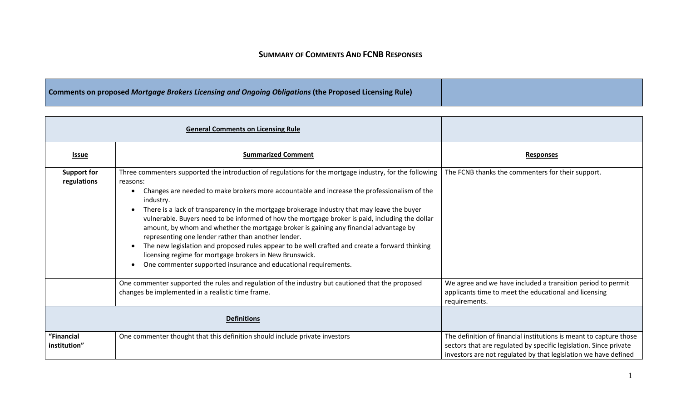# **SUMMARY OF COMMENTS AND FCNB RESPONSES**

# **Comments on proposed** *Mortgage Brokers Licensing and Ongoing Obligations* **(the Proposed Licensing Rule)**

|                                   | <b>General Comments on Licensing Rule</b>                                                                                                                                                                                                                                                                                                                                                                                                                                                                                                                                                                                                                                                                                                                                                                                      |                                                                                                                                                                                                            |
|-----------------------------------|--------------------------------------------------------------------------------------------------------------------------------------------------------------------------------------------------------------------------------------------------------------------------------------------------------------------------------------------------------------------------------------------------------------------------------------------------------------------------------------------------------------------------------------------------------------------------------------------------------------------------------------------------------------------------------------------------------------------------------------------------------------------------------------------------------------------------------|------------------------------------------------------------------------------------------------------------------------------------------------------------------------------------------------------------|
| <u>Issue</u>                      | <b>Summarized Comment</b>                                                                                                                                                                                                                                                                                                                                                                                                                                                                                                                                                                                                                                                                                                                                                                                                      | <b>Responses</b>                                                                                                                                                                                           |
| <b>Support for</b><br>regulations | Three commenters supported the introduction of regulations for the mortgage industry, for the following<br>reasons:<br>Changes are needed to make brokers more accountable and increase the professionalism of the<br>industry.<br>There is a lack of transparency in the mortgage brokerage industry that may leave the buyer<br>$\bullet$<br>vulnerable. Buyers need to be informed of how the mortgage broker is paid, including the dollar<br>amount, by whom and whether the mortgage broker is gaining any financial advantage by<br>representing one lender rather than another lender.<br>The new legislation and proposed rules appear to be well crafted and create a forward thinking<br>licensing regime for mortgage brokers in New Brunswick.<br>One commenter supported insurance and educational requirements. | The FCNB thanks the commenters for their support.                                                                                                                                                          |
|                                   | One commenter supported the rules and regulation of the industry but cautioned that the proposed<br>changes be implemented in a realistic time frame.                                                                                                                                                                                                                                                                                                                                                                                                                                                                                                                                                                                                                                                                          | We agree and we have included a transition period to permit<br>applicants time to meet the educational and licensing<br>requirements.                                                                      |
|                                   | <b>Definitions</b>                                                                                                                                                                                                                                                                                                                                                                                                                                                                                                                                                                                                                                                                                                                                                                                                             |                                                                                                                                                                                                            |
| "Financial<br>institution"        | One commenter thought that this definition should include private investors                                                                                                                                                                                                                                                                                                                                                                                                                                                                                                                                                                                                                                                                                                                                                    | The definition of financial institutions is meant to capture those<br>sectors that are regulated by specific legislation. Since private<br>investors are not regulated by that legislation we have defined |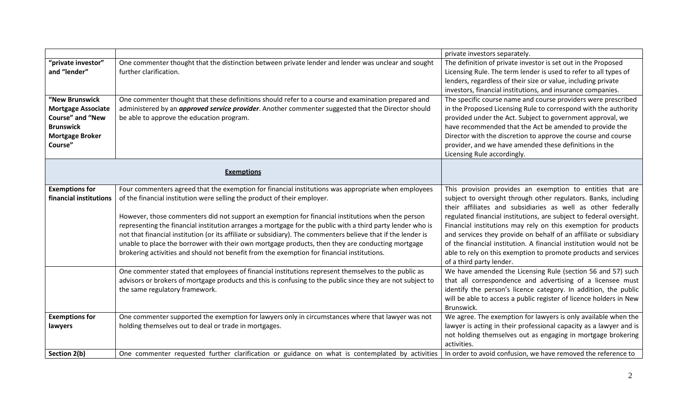|                                                                                                                                 |                                                                                                                                                                                                                                                                                                                                                                                                                                                                                                                                                                                                                                                                                                                       | private investors separately.                                                                                                                                                                                                                                                                                                                                                                                                                                                                                                                                                   |
|---------------------------------------------------------------------------------------------------------------------------------|-----------------------------------------------------------------------------------------------------------------------------------------------------------------------------------------------------------------------------------------------------------------------------------------------------------------------------------------------------------------------------------------------------------------------------------------------------------------------------------------------------------------------------------------------------------------------------------------------------------------------------------------------------------------------------------------------------------------------|---------------------------------------------------------------------------------------------------------------------------------------------------------------------------------------------------------------------------------------------------------------------------------------------------------------------------------------------------------------------------------------------------------------------------------------------------------------------------------------------------------------------------------------------------------------------------------|
| "private investor"<br>and "lender"                                                                                              | One commenter thought that the distinction between private lender and lender was unclear and sought<br>further clarification.                                                                                                                                                                                                                                                                                                                                                                                                                                                                                                                                                                                         | The definition of private investor is set out in the Proposed<br>Licensing Rule. The term lender is used to refer to all types of<br>lenders, regardless of their size or value, including private<br>investors, financial institutions, and insurance companies.                                                                                                                                                                                                                                                                                                               |
| "New Brunswick<br><b>Mortgage Associate</b><br><b>Course" and "New</b><br><b>Brunswick</b><br><b>Mortgage Broker</b><br>Course" | One commenter thought that these definitions should refer to a course and examination prepared and<br>administered by an <i>approved service provider</i> . Another commenter suggested that the Director should<br>be able to approve the education program.                                                                                                                                                                                                                                                                                                                                                                                                                                                         | The specific course name and course providers were prescribed<br>in the Proposed Licensing Rule to correspond with the authority<br>provided under the Act. Subject to government approval, we<br>have recommended that the Act be amended to provide the<br>Director with the discretion to approve the course and course<br>provider, and we have amended these definitions in the<br>Licensing Rule accordingly.                                                                                                                                                             |
|                                                                                                                                 | <b>Exemptions</b>                                                                                                                                                                                                                                                                                                                                                                                                                                                                                                                                                                                                                                                                                                     |                                                                                                                                                                                                                                                                                                                                                                                                                                                                                                                                                                                 |
| <b>Exemptions for</b><br>financial institutions                                                                                 | Four commenters agreed that the exemption for financial institutions was appropriate when employees<br>of the financial institution were selling the product of their employer.<br>However, those commenters did not support an exemption for financial institutions when the person<br>representing the financial institution arranges a mortgage for the public with a third party lender who is<br>not that financial institution (or its affiliate or subsidiary). The commenters believe that if the lender is<br>unable to place the borrower with their own mortgage products, then they are conducting mortgage<br>brokering activities and should not benefit from the exemption for financial institutions. | This provision provides an exemption to entities that are<br>subject to oversight through other regulators. Banks, including<br>their affiliates and subsidiaries as well as other federally<br>regulated financial institutions, are subject to federal oversight.<br>Financial institutions may rely on this exemption for products<br>and services they provide on behalf of an affiliate or subsidiary<br>of the financial institution. A financial institution would not be<br>able to rely on this exemption to promote products and services<br>of a third party lender. |
|                                                                                                                                 | One commenter stated that employees of financial institutions represent themselves to the public as<br>advisors or brokers of mortgage products and this is confusing to the public since they are not subject to<br>the same regulatory framework.                                                                                                                                                                                                                                                                                                                                                                                                                                                                   | We have amended the Licensing Rule (section 56 and 57) such<br>that all correspondence and advertising of a licensee must<br>identify the person's licence category. In addition, the public<br>will be able to access a public register of licence holders in New<br>Brunswick.                                                                                                                                                                                                                                                                                                |
| <b>Exemptions for</b><br>lawyers                                                                                                | One commenter supported the exemption for lawyers only in circumstances where that lawyer was not<br>holding themselves out to deal or trade in mortgages.                                                                                                                                                                                                                                                                                                                                                                                                                                                                                                                                                            | We agree. The exemption for lawyers is only available when the<br>lawyer is acting in their professional capacity as a lawyer and is<br>not holding themselves out as engaging in mortgage brokering<br>activities.                                                                                                                                                                                                                                                                                                                                                             |
| Section 2(b)                                                                                                                    | One commenter requested further clarification or guidance on what is contemplated by activities                                                                                                                                                                                                                                                                                                                                                                                                                                                                                                                                                                                                                       | In order to avoid confusion, we have removed the reference to                                                                                                                                                                                                                                                                                                                                                                                                                                                                                                                   |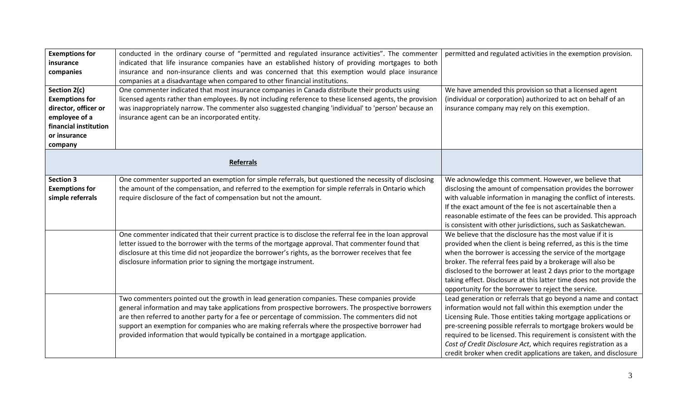| <b>Exemptions for</b><br>insurance<br>companies<br>Section 2(c)<br><b>Exemptions for</b><br>director, officer or<br>employee of a<br>financial institution<br>or insurance<br>company | conducted in the ordinary course of "permitted and regulated insurance activities". The commenter<br>indicated that life insurance companies have an established history of providing mortgages to both<br>insurance and non-insurance clients and was concerned that this exemption would place insurance<br>companies at a disadvantage when compared to other financial institutions.<br>One commenter indicated that most insurance companies in Canada distribute their products using<br>licensed agents rather than employees. By not including reference to these licensed agents, the provision<br>was inappropriately narrow. The commenter also suggested changing 'individual' to 'person' because an<br>insurance agent can be an incorporated entity. | permitted and regulated activities in the exemption provision.<br>We have amended this provision so that a licensed agent<br>(individual or corporation) authorized to act on behalf of an<br>insurance company may rely on this exemption.                                                                                                                                                                                                                                |
|---------------------------------------------------------------------------------------------------------------------------------------------------------------------------------------|---------------------------------------------------------------------------------------------------------------------------------------------------------------------------------------------------------------------------------------------------------------------------------------------------------------------------------------------------------------------------------------------------------------------------------------------------------------------------------------------------------------------------------------------------------------------------------------------------------------------------------------------------------------------------------------------------------------------------------------------------------------------|----------------------------------------------------------------------------------------------------------------------------------------------------------------------------------------------------------------------------------------------------------------------------------------------------------------------------------------------------------------------------------------------------------------------------------------------------------------------------|
|                                                                                                                                                                                       | <b>Referrals</b>                                                                                                                                                                                                                                                                                                                                                                                                                                                                                                                                                                                                                                                                                                                                                    |                                                                                                                                                                                                                                                                                                                                                                                                                                                                            |
| <b>Section 3</b><br><b>Exemptions for</b><br>simple referrals                                                                                                                         | One commenter supported an exemption for simple referrals, but questioned the necessity of disclosing<br>the amount of the compensation, and referred to the exemption for simple referrals in Ontario which<br>require disclosure of the fact of compensation but not the amount.                                                                                                                                                                                                                                                                                                                                                                                                                                                                                  | We acknowledge this comment. However, we believe that<br>disclosing the amount of compensation provides the borrower<br>with valuable information in managing the conflict of interests.<br>If the exact amount of the fee is not ascertainable then a<br>reasonable estimate of the fees can be provided. This approach<br>is consistent with other jurisdictions, such as Saskatchewan.                                                                                  |
|                                                                                                                                                                                       | One commenter indicated that their current practice is to disclose the referral fee in the loan approval<br>letter issued to the borrower with the terms of the mortgage approval. That commenter found that<br>disclosure at this time did not jeopardize the borrower's rights, as the borrower receives that fee<br>disclosure information prior to signing the mortgage instrument.                                                                                                                                                                                                                                                                                                                                                                             | We believe that the disclosure has the most value if it is<br>provided when the client is being referred, as this is the time<br>when the borrower is accessing the service of the mortgage<br>broker. The referral fees paid by a brokerage will also be<br>disclosed to the borrower at least 2 days prior to the mortgage<br>taking effect. Disclosure at this latter time does not provide the<br>opportunity for the borrower to reject the service.                  |
|                                                                                                                                                                                       | Two commenters pointed out the growth in lead generation companies. These companies provide<br>general information and may take applications from prospective borrowers. The prospective borrowers<br>are then referred to another party for a fee or percentage of commission. The commenters did not<br>support an exemption for companies who are making referrals where the prospective borrower had<br>provided information that would typically be contained in a mortgage application.                                                                                                                                                                                                                                                                       | Lead generation or referrals that go beyond a name and contact<br>information would not fall within this exemption under the<br>Licensing Rule. Those entities taking mortgage applications or<br>pre-screening possible referrals to mortgage brokers would be<br>required to be licensed. This requirement is consistent with the<br>Cost of Credit Disclosure Act, which requires registration as a<br>credit broker when credit applications are taken, and disclosure |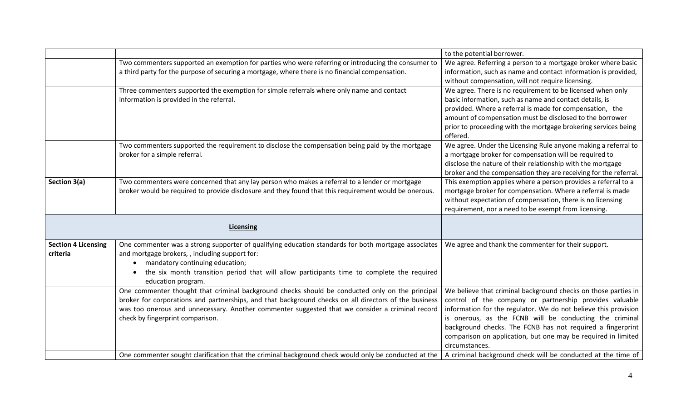|                            |                                                                                                                                                                     | to the potential borrower.                                                 |
|----------------------------|---------------------------------------------------------------------------------------------------------------------------------------------------------------------|----------------------------------------------------------------------------|
|                            | Two commenters supported an exemption for parties who were referring or introducing the consumer to                                                                 | We agree. Referring a person to a mortgage broker where basic              |
|                            | a third party for the purpose of securing a mortgage, where there is no financial compensation.                                                                     | information, such as name and contact information is provided,             |
|                            |                                                                                                                                                                     | without compensation, will not require licensing.                          |
|                            | Three commenters supported the exemption for simple referrals where only name and contact                                                                           | We agree. There is no requirement to be licensed when only                 |
|                            | information is provided in the referral.                                                                                                                            | basic information, such as name and contact details, is                    |
|                            |                                                                                                                                                                     | provided. Where a referral is made for compensation, the                   |
|                            |                                                                                                                                                                     | amount of compensation must be disclosed to the borrower                   |
|                            |                                                                                                                                                                     | prior to proceeding with the mortgage brokering services being<br>offered. |
|                            | Two commenters supported the requirement to disclose the compensation being paid by the mortgage                                                                    | We agree. Under the Licensing Rule anyone making a referral to             |
|                            | broker for a simple referral.                                                                                                                                       | a mortgage broker for compensation will be required to                     |
|                            |                                                                                                                                                                     | disclose the nature of their relationship with the mortgage                |
|                            |                                                                                                                                                                     | broker and the compensation they are receiving for the referral.           |
| Section 3(a)               | Two commenters were concerned that any lay person who makes a referral to a lender or mortgage                                                                      | This exemption applies where a person provides a referral to a             |
|                            | broker would be required to provide disclosure and they found that this requirement would be onerous.                                                               | mortgage broker for compensation. Where a referral is made                 |
|                            |                                                                                                                                                                     | without expectation of compensation, there is no licensing                 |
|                            |                                                                                                                                                                     | requirement, nor a need to be exempt from licensing.                       |
|                            | <b>Licensing</b>                                                                                                                                                    |                                                                            |
| <b>Section 4 Licensing</b> | One commenter was a strong supporter of qualifying education standards for both mortgage associates                                                                 | We agree and thank the commenter for their support.                        |
| criteria                   | and mortgage brokers,, including support for:                                                                                                                       |                                                                            |
|                            | mandatory continuing education;<br>$\bullet$                                                                                                                        |                                                                            |
|                            | the six month transition period that will allow participants time to complete the required                                                                          |                                                                            |
|                            | education program.                                                                                                                                                  |                                                                            |
|                            | One commenter thought that criminal background checks should be conducted only on the principal                                                                     | We believe that criminal background checks on those parties in             |
|                            | broker for corporations and partnerships, and that background checks on all directors of the business                                                               | control of the company or partnership provides valuable                    |
|                            | was too onerous and unnecessary. Another commenter suggested that we consider a criminal record                                                                     | information for the regulator. We do not believe this provision            |
|                            | check by fingerprint comparison.                                                                                                                                    | is onerous, as the FCNB will be conducting the criminal                    |
|                            |                                                                                                                                                                     | background checks. The FCNB has not required a fingerprint                 |
|                            |                                                                                                                                                                     | comparison on application, but one may be required in limited              |
|                            |                                                                                                                                                                     | circumstances.                                                             |
|                            | One commenter sought clarification that the criminal background check would only be conducted at the   A criminal background check will be conducted at the time of |                                                                            |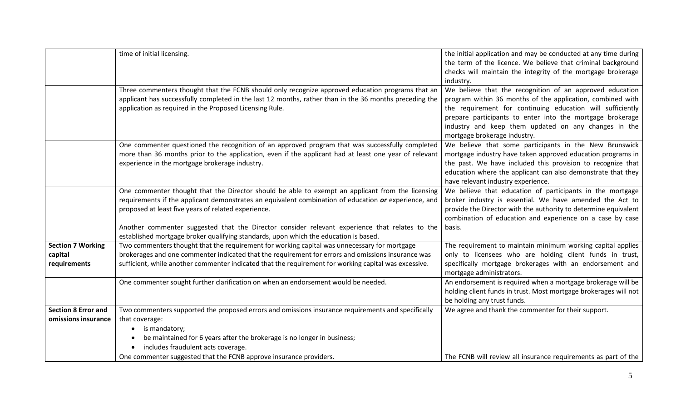|                            | time of initial licensing.                                                                                                                                                                         | the initial application and may be conducted at any time during<br>the term of the licence. We believe that criminal background<br>checks will maintain the integrity of the mortgage brokerage<br>industry. |
|----------------------------|----------------------------------------------------------------------------------------------------------------------------------------------------------------------------------------------------|--------------------------------------------------------------------------------------------------------------------------------------------------------------------------------------------------------------|
|                            | Three commenters thought that the FCNB should only recognize approved education programs that an                                                                                                   | We believe that the recognition of an approved education                                                                                                                                                     |
|                            | applicant has successfully completed in the last 12 months, rather than in the 36 months preceding the                                                                                             | program within 36 months of the application, combined with                                                                                                                                                   |
|                            | application as required in the Proposed Licensing Rule.                                                                                                                                            | the requirement for continuing education will sufficiently                                                                                                                                                   |
|                            |                                                                                                                                                                                                    | prepare participants to enter into the mortgage brokerage                                                                                                                                                    |
|                            |                                                                                                                                                                                                    | industry and keep them updated on any changes in the<br>mortgage brokerage industry.                                                                                                                         |
|                            | One commenter questioned the recognition of an approved program that was successfully completed                                                                                                    | We believe that some participants in the New Brunswick                                                                                                                                                       |
|                            | more than 36 months prior to the application, even if the applicant had at least one year of relevant                                                                                              | mortgage industry have taken approved education programs in                                                                                                                                                  |
|                            | experience in the mortgage brokerage industry.                                                                                                                                                     | the past. We have included this provision to recognize that                                                                                                                                                  |
|                            |                                                                                                                                                                                                    | education where the applicant can also demonstrate that they                                                                                                                                                 |
|                            |                                                                                                                                                                                                    | have relevant industry experience.                                                                                                                                                                           |
|                            | One commenter thought that the Director should be able to exempt an applicant from the licensing                                                                                                   | We believe that education of participants in the mortgage                                                                                                                                                    |
|                            | requirements if the applicant demonstrates an equivalent combination of education or experience, and                                                                                               | broker industry is essential. We have amended the Act to                                                                                                                                                     |
|                            | proposed at least five years of related experience.                                                                                                                                                | provide the Director with the authority to determine equivalent                                                                                                                                              |
|                            |                                                                                                                                                                                                    | combination of education and experience on a case by case                                                                                                                                                    |
|                            | Another commenter suggested that the Director consider relevant experience that relates to the                                                                                                     | basis.                                                                                                                                                                                                       |
|                            | established mortgage broker qualifying standards, upon which the education is based.                                                                                                               |                                                                                                                                                                                                              |
| <b>Section 7 Working</b>   | Two commenters thought that the requirement for working capital was unnecessary for mortgage<br>brokerages and one commenter indicated that the requirement for errors and omissions insurance was | The requirement to maintain minimum working capital applies<br>only to licensees who are holding client funds in trust,                                                                                      |
| capital<br>requirements    | sufficient, while another commenter indicated that the requirement for working capital was excessive.                                                                                              | specifically mortgage brokerages with an endorsement and                                                                                                                                                     |
|                            |                                                                                                                                                                                                    | mortgage administrators.                                                                                                                                                                                     |
|                            | One commenter sought further clarification on when an endorsement would be needed.                                                                                                                 | An endorsement is required when a mortgage brokerage will be                                                                                                                                                 |
|                            |                                                                                                                                                                                                    | holding client funds in trust. Most mortgage brokerages will not                                                                                                                                             |
|                            |                                                                                                                                                                                                    | be holding any trust funds.                                                                                                                                                                                  |
| <b>Section 8 Error and</b> | Two commenters supported the proposed errors and omissions insurance requirements and specifically                                                                                                 | We agree and thank the commenter for their support.                                                                                                                                                          |
| omissions insurance        | that coverage:                                                                                                                                                                                     |                                                                                                                                                                                                              |
|                            | is mandatory;<br>$\bullet$                                                                                                                                                                         |                                                                                                                                                                                                              |
|                            | be maintained for 6 years after the brokerage is no longer in business;                                                                                                                            |                                                                                                                                                                                                              |
|                            | includes fraudulent acts coverage.                                                                                                                                                                 |                                                                                                                                                                                                              |
|                            | One commenter suggested that the FCNB approve insurance providers.                                                                                                                                 | The FCNB will review all insurance requirements as part of the                                                                                                                                               |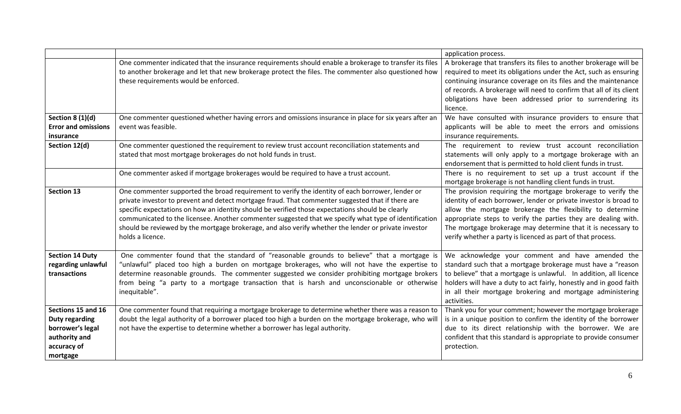|                                                                                                             |                                                                                                                                                                                                                                                                                                                                                                                                                                                                                                                                                | application process.                                                                                                                                                                                                                                                                                                                                                                            |
|-------------------------------------------------------------------------------------------------------------|------------------------------------------------------------------------------------------------------------------------------------------------------------------------------------------------------------------------------------------------------------------------------------------------------------------------------------------------------------------------------------------------------------------------------------------------------------------------------------------------------------------------------------------------|-------------------------------------------------------------------------------------------------------------------------------------------------------------------------------------------------------------------------------------------------------------------------------------------------------------------------------------------------------------------------------------------------|
|                                                                                                             | One commenter indicated that the insurance requirements should enable a brokerage to transfer its files<br>to another brokerage and let that new brokerage protect the files. The commenter also questioned how                                                                                                                                                                                                                                                                                                                                | A brokerage that transfers its files to another brokerage will be<br>required to meet its obligations under the Act, such as ensuring                                                                                                                                                                                                                                                           |
|                                                                                                             | these requirements would be enforced.                                                                                                                                                                                                                                                                                                                                                                                                                                                                                                          | continuing insurance coverage on its files and the maintenance<br>of records. A brokerage will need to confirm that all of its client<br>obligations have been addressed prior to surrendering its<br>licence.                                                                                                                                                                                  |
| Section $8(1)(d)$<br><b>Error and omissions</b><br>insurance                                                | One commenter questioned whether having errors and omissions insurance in place for six years after an<br>event was feasible.                                                                                                                                                                                                                                                                                                                                                                                                                  | We have consulted with insurance providers to ensure that<br>applicants will be able to meet the errors and omissions<br>insurance requirements.                                                                                                                                                                                                                                                |
| Section 12(d)                                                                                               | One commenter questioned the requirement to review trust account reconciliation statements and<br>stated that most mortgage brokerages do not hold funds in trust.                                                                                                                                                                                                                                                                                                                                                                             | The requirement to review trust account reconciliation<br>statements will only apply to a mortgage brokerage with an<br>endorsement that is permitted to hold client funds in trust.                                                                                                                                                                                                            |
|                                                                                                             | One commenter asked if mortgage brokerages would be required to have a trust account.                                                                                                                                                                                                                                                                                                                                                                                                                                                          | There is no requirement to set up a trust account if the<br>mortgage brokerage is not handling client funds in trust.                                                                                                                                                                                                                                                                           |
| <b>Section 13</b>                                                                                           | One commenter supported the broad requirement to verify the identity of each borrower, lender or<br>private investor to prevent and detect mortgage fraud. That commenter suggested that if there are<br>specific expectations on how an identity should be verified those expectations should be clearly<br>communicated to the licensee. Another commenter suggested that we specify what type of identification<br>should be reviewed by the mortgage brokerage, and also verify whether the lender or private investor<br>holds a licence. | The provision requiring the mortgage brokerage to verify the<br>identity of each borrower, lender or private investor is broad to<br>allow the mortgage brokerage the flexibility to determine<br>appropriate steps to verify the parties they are dealing with.<br>The mortgage brokerage may determine that it is necessary to<br>verify whether a party is licenced as part of that process. |
| <b>Section 14 Duty</b><br>regarding unlawful<br>transactions                                                | One commenter found that the standard of "reasonable grounds to believe" that a mortgage is<br>"unlawful" placed too high a burden on mortgage brokerages, who will not have the expertise to<br>determine reasonable grounds. The commenter suggested we consider prohibiting mortgage brokers<br>from being "a party to a mortgage transaction that is harsh and unconscionable or otherwise<br>inequitable".                                                                                                                                | We acknowledge your comment and have amended the<br>standard such that a mortgage brokerage must have a "reason<br>to believe" that a mortgage is unlawful. In addition, all licence<br>holders will have a duty to act fairly, honestly and in good faith<br>in all their mortgage brokering and mortgage administering<br>activities.                                                         |
| Sections 15 and 16<br><b>Duty regarding</b><br>borrower's legal<br>authority and<br>accuracy of<br>mortgage | One commenter found that requiring a mortgage brokerage to determine whether there was a reason to<br>doubt the legal authority of a borrower placed too high a burden on the mortgage brokerage, who will<br>not have the expertise to determine whether a borrower has legal authority.                                                                                                                                                                                                                                                      | Thank you for your comment; however the mortgage brokerage<br>is in a unique position to confirm the identity of the borrower<br>due to its direct relationship with the borrower. We are<br>confident that this standard is appropriate to provide consumer<br>protection.                                                                                                                     |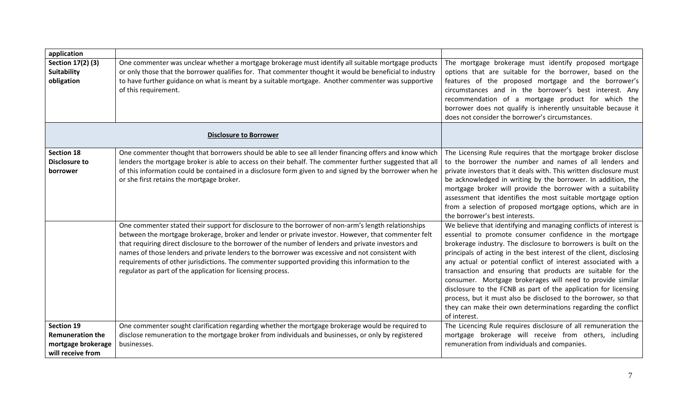| application                                                                      |                                                                                                                                                                                                                                                                                                                                                                                                                                                                                                                                                                                                                                                                                               |                                                                                                                                                                                                                                                                                                                                                                                                                                                                                                                                                                                                                                                                                                     |
|----------------------------------------------------------------------------------|-----------------------------------------------------------------------------------------------------------------------------------------------------------------------------------------------------------------------------------------------------------------------------------------------------------------------------------------------------------------------------------------------------------------------------------------------------------------------------------------------------------------------------------------------------------------------------------------------------------------------------------------------------------------------------------------------|-----------------------------------------------------------------------------------------------------------------------------------------------------------------------------------------------------------------------------------------------------------------------------------------------------------------------------------------------------------------------------------------------------------------------------------------------------------------------------------------------------------------------------------------------------------------------------------------------------------------------------------------------------------------------------------------------------|
| Section 17(2) (3)<br><b>Suitability</b><br>obligation                            | One commenter was unclear whether a mortgage brokerage must identify all suitable mortgage products<br>or only those that the borrower qualifies for. That commenter thought it would be beneficial to industry<br>to have further guidance on what is meant by a suitable mortgage. Another commenter was supportive<br>of this requirement.                                                                                                                                                                                                                                                                                                                                                 | The mortgage brokerage must identify proposed mortgage<br>options that are suitable for the borrower, based on the<br>features of the proposed mortgage and the borrower's<br>circumstances and in the borrower's best interest. Any<br>recommendation of a mortgage product for which the<br>borrower does not qualify is inherently unsuitable because it<br>does not consider the borrower's circumstances.                                                                                                                                                                                                                                                                                      |
|                                                                                  | <b>Disclosure to Borrower</b>                                                                                                                                                                                                                                                                                                                                                                                                                                                                                                                                                                                                                                                                 |                                                                                                                                                                                                                                                                                                                                                                                                                                                                                                                                                                                                                                                                                                     |
| <b>Section 18</b><br><b>Disclosure to</b><br>borrower                            | One commenter thought that borrowers should be able to see all lender financing offers and know which<br>lenders the mortgage broker is able to access on their behalf. The commenter further suggested that all<br>of this information could be contained in a disclosure form given to and signed by the borrower when he<br>or she first retains the mortgage broker.<br>One commenter stated their support for disclosure to the borrower of non-arm's length relationships<br>between the mortgage brokerage, broker and lender or private investor. However, that commenter felt<br>that requiring direct disclosure to the borrower of the number of lenders and private investors and | The Licensing Rule requires that the mortgage broker disclose<br>to the borrower the number and names of all lenders and<br>private investors that it deals with. This written disclosure must<br>be acknowledged in writing by the borrower. In addition, the<br>mortgage broker will provide the borrower with a suitability<br>assessment that identifies the most suitable mortgage option<br>from a selection of proposed mortgage options, which are in<br>the borrower's best interests.<br>We believe that identifying and managing conflicts of interest is<br>essential to promote consumer confidence in the mortgage<br>brokerage industry. The disclosure to borrowers is built on the |
|                                                                                  | names of those lenders and private lenders to the borrower was excessive and not consistent with<br>requirements of other jurisdictions. The commenter supported providing this information to the<br>regulator as part of the application for licensing process.                                                                                                                                                                                                                                                                                                                                                                                                                             | principals of acting in the best interest of the client, disclosing<br>any actual or potential conflict of interest associated with a<br>transaction and ensuring that products are suitable for the<br>consumer. Mortgage brokerages will need to provide similar<br>disclosure to the FCNB as part of the application for licensing<br>process, but it must also be disclosed to the borrower, so that<br>they can make their own determinations regarding the conflict<br>of interest.                                                                                                                                                                                                           |
| Section 19<br><b>Remuneration the</b><br>mortgage brokerage<br>will receive from | One commenter sought clarification regarding whether the mortgage brokerage would be required to<br>disclose remuneration to the mortgage broker from individuals and businesses, or only by registered<br>businesses.                                                                                                                                                                                                                                                                                                                                                                                                                                                                        | The Licencing Rule requires disclosure of all remuneration the<br>mortgage brokerage will receive from others, including<br>remuneration from individuals and companies.                                                                                                                                                                                                                                                                                                                                                                                                                                                                                                                            |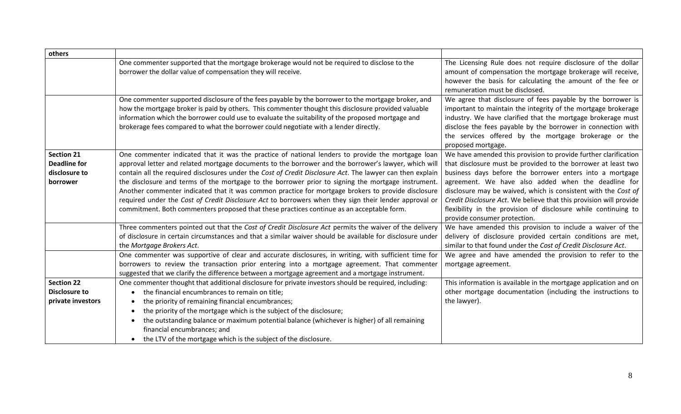| others                                                                |                                                                                                                                                                                                                                                                                                                                                                                                                                                                                                                                                                                                                                                                                                                                          |                                                                                                                                                                                                                                                                                                                                                                                                                                                                                               |
|-----------------------------------------------------------------------|------------------------------------------------------------------------------------------------------------------------------------------------------------------------------------------------------------------------------------------------------------------------------------------------------------------------------------------------------------------------------------------------------------------------------------------------------------------------------------------------------------------------------------------------------------------------------------------------------------------------------------------------------------------------------------------------------------------------------------------|-----------------------------------------------------------------------------------------------------------------------------------------------------------------------------------------------------------------------------------------------------------------------------------------------------------------------------------------------------------------------------------------------------------------------------------------------------------------------------------------------|
|                                                                       | One commenter supported that the mortgage brokerage would not be required to disclose to the<br>borrower the dollar value of compensation they will receive.                                                                                                                                                                                                                                                                                                                                                                                                                                                                                                                                                                             | The Licensing Rule does not require disclosure of the dollar<br>amount of compensation the mortgage brokerage will receive,<br>however the basis for calculating the amount of the fee or<br>remuneration must be disclosed.                                                                                                                                                                                                                                                                  |
|                                                                       | One commenter supported disclosure of the fees payable by the borrower to the mortgage broker, and<br>how the mortgage broker is paid by others. This commenter thought this disclosure provided valuable<br>information which the borrower could use to evaluate the suitability of the proposed mortgage and<br>brokerage fees compared to what the borrower could negotiate with a lender directly.                                                                                                                                                                                                                                                                                                                                   | We agree that disclosure of fees payable by the borrower is<br>important to maintain the integrity of the mortgage brokerage<br>industry. We have clarified that the mortgage brokerage must<br>disclose the fees payable by the borrower in connection with<br>the services offered by the mortgage brokerage or the<br>proposed mortgage.                                                                                                                                                   |
| <b>Section 21</b><br><b>Deadline for</b><br>disclosure to<br>borrower | One commenter indicated that it was the practice of national lenders to provide the mortgage loan<br>approval letter and related mortgage documents to the borrower and the borrower's lawyer, which will<br>contain all the required disclosures under the Cost of Credit Disclosure Act. The lawyer can then explain<br>the disclosure and terms of the mortgage to the borrower prior to signing the mortgage instrument.<br>Another commenter indicated that it was common practice for mortgage brokers to provide disclosure<br>required under the Cost of Credit Disclosure Act to borrowers when they sign their lender approval or<br>commitment. Both commenters proposed that these practices continue as an acceptable form. | We have amended this provision to provide further clarification<br>that disclosure must be provided to the borrower at least two<br>business days before the borrower enters into a mortgage<br>agreement. We have also added when the deadline for<br>disclosure may be waived, which is consistent with the Cost of<br>Credit Disclosure Act. We believe that this provision will provide<br>flexibility in the provision of disclosure while continuing to<br>provide consumer protection. |
|                                                                       | Three commenters pointed out that the Cost of Credit Disclosure Act permits the waiver of the delivery<br>of disclosure in certain circumstances and that a similar waiver should be available for disclosure under<br>the Mortgage Brokers Act.                                                                                                                                                                                                                                                                                                                                                                                                                                                                                         | We have amended this provision to include a waiver of the<br>delivery of disclosure provided certain conditions are met,<br>similar to that found under the Cost of Credit Disclosure Act.                                                                                                                                                                                                                                                                                                    |
|                                                                       | One commenter was supportive of clear and accurate disclosures, in writing, with sufficient time for<br>borrowers to review the transaction prior entering into a mortgage agreement. That commenter<br>suggested that we clarify the difference between a mortgage agreement and a mortgage instrument.                                                                                                                                                                                                                                                                                                                                                                                                                                 | We agree and have amended the provision to refer to the<br>mortgage agreement.                                                                                                                                                                                                                                                                                                                                                                                                                |
| <b>Section 22</b><br><b>Disclosure to</b><br>private investors        | One commenter thought that additional disclosure for private investors should be required, including:<br>the financial encumbrances to remain on title;<br>the priority of remaining financial encumbrances;<br>the priority of the mortgage which is the subject of the disclosure;<br>$\bullet$<br>the outstanding balance or maximum potential balance (whichever is higher) of all remaining<br>financial encumbrances; and<br>the LTV of the mortgage which is the subject of the disclosure.                                                                                                                                                                                                                                       | This information is available in the mortgage application and on<br>other mortgage documentation (including the instructions to<br>the lawyer).                                                                                                                                                                                                                                                                                                                                               |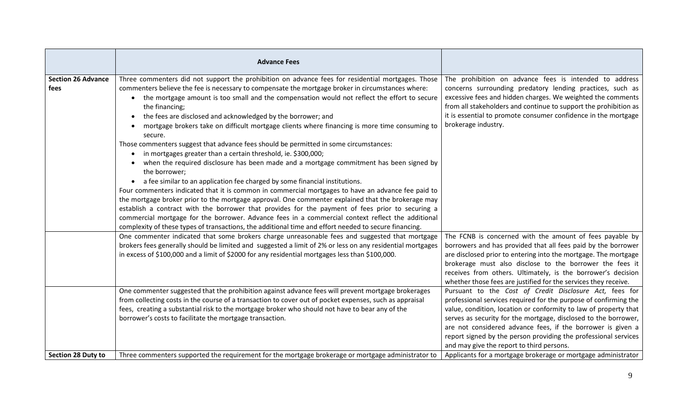|                                   | <b>Advance Fees</b>                                                                                                                                                                                                                                                                                                                                                                                                                                                                                                                                                                                                                                                                                                                                                                                                                                                                                                                                                                                                                                                                                                                                                                                                                                                                                                                                                                       |                                                                                                                                                                                                                                                                                                                                                                                                                                                   |
|-----------------------------------|-------------------------------------------------------------------------------------------------------------------------------------------------------------------------------------------------------------------------------------------------------------------------------------------------------------------------------------------------------------------------------------------------------------------------------------------------------------------------------------------------------------------------------------------------------------------------------------------------------------------------------------------------------------------------------------------------------------------------------------------------------------------------------------------------------------------------------------------------------------------------------------------------------------------------------------------------------------------------------------------------------------------------------------------------------------------------------------------------------------------------------------------------------------------------------------------------------------------------------------------------------------------------------------------------------------------------------------------------------------------------------------------|---------------------------------------------------------------------------------------------------------------------------------------------------------------------------------------------------------------------------------------------------------------------------------------------------------------------------------------------------------------------------------------------------------------------------------------------------|
| <b>Section 26 Advance</b><br>fees | Three commenters did not support the prohibition on advance fees for residential mortgages. Those<br>commenters believe the fee is necessary to compensate the mortgage broker in circumstances where:<br>the mortgage amount is too small and the compensation would not reflect the effort to secure<br>the financing;<br>the fees are disclosed and acknowledged by the borrower; and<br>mortgage brokers take on difficult mortgage clients where financing is more time consuming to<br>secure.<br>Those commenters suggest that advance fees should be permitted in some circumstances:<br>in mortgages greater than a certain threshold, ie. \$300,000;<br>when the required disclosure has been made and a mortgage commitment has been signed by<br>the borrower;<br>• a fee similar to an application fee charged by some financial institutions.<br>Four commenters indicated that it is common in commercial mortgages to have an advance fee paid to<br>the mortgage broker prior to the mortgage approval. One commenter explained that the brokerage may<br>establish a contract with the borrower that provides for the payment of fees prior to securing a<br>commercial mortgage for the borrower. Advance fees in a commercial context reflect the additional<br>complexity of these types of transactions, the additional time and effort needed to secure financing. | The prohibition on advance fees is intended to address<br>concerns surrounding predatory lending practices, such as<br>excessive fees and hidden charges. We weighted the comments<br>from all stakeholders and continue to support the prohibition as<br>it is essential to promote consumer confidence in the mortgage<br>brokerage industry.                                                                                                   |
|                                   | One commenter indicated that some brokers charge unreasonable fees and suggested that mortgage<br>brokers fees generally should be limited and suggested a limit of 2% or less on any residential mortgages<br>in excess of \$100,000 and a limit of \$2000 for any residential mortgages less than \$100,000.                                                                                                                                                                                                                                                                                                                                                                                                                                                                                                                                                                                                                                                                                                                                                                                                                                                                                                                                                                                                                                                                            | The FCNB is concerned with the amount of fees payable by<br>borrowers and has provided that all fees paid by the borrower<br>are disclosed prior to entering into the mortgage. The mortgage<br>brokerage must also disclose to the borrower the fees it<br>receives from others. Ultimately, is the borrower's decision<br>whether those fees are justified for the services they receive.                                                       |
|                                   | One commenter suggested that the prohibition against advance fees will prevent mortgage brokerages<br>from collecting costs in the course of a transaction to cover out of pocket expenses, such as appraisal<br>fees, creating a substantial risk to the mortgage broker who should not have to bear any of the<br>borrower's costs to facilitate the mortgage transaction.                                                                                                                                                                                                                                                                                                                                                                                                                                                                                                                                                                                                                                                                                                                                                                                                                                                                                                                                                                                                              | Pursuant to the Cost of Credit Disclosure Act, fees for<br>professional services required for the purpose of confirming the<br>value, condition, location or conformity to law of property that<br>serves as security for the mortgage, disclosed to the borrower,<br>are not considered advance fees, if the borrower is given a<br>report signed by the person providing the professional services<br>and may give the report to third persons. |
| <b>Section 28 Duty to</b>         | Three commenters supported the requirement for the mortgage brokerage or mortgage administrator to                                                                                                                                                                                                                                                                                                                                                                                                                                                                                                                                                                                                                                                                                                                                                                                                                                                                                                                                                                                                                                                                                                                                                                                                                                                                                        | Applicants for a mortgage brokerage or mortgage administrator                                                                                                                                                                                                                                                                                                                                                                                     |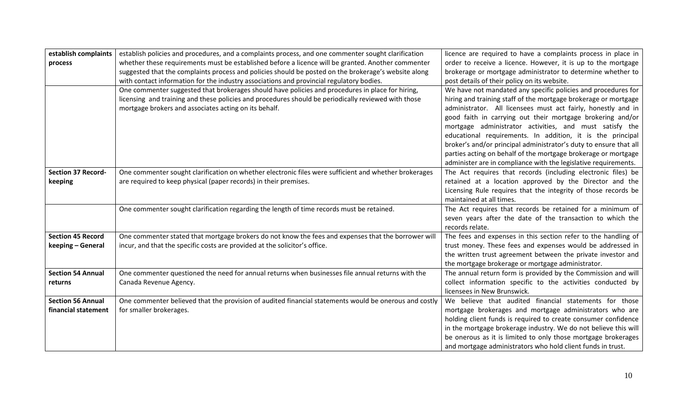| establish complaints                            | establish policies and procedures, and a complaints process, and one commenter sought clarification                              | licence are required to have a complaints process in place in                                                             |
|-------------------------------------------------|----------------------------------------------------------------------------------------------------------------------------------|---------------------------------------------------------------------------------------------------------------------------|
| process                                         | whether these requirements must be established before a licence will be granted. Another commenter                               | order to receive a licence. However, it is up to the mortgage                                                             |
|                                                 | suggested that the complaints process and policies should be posted on the brokerage's website along                             | brokerage or mortgage administrator to determine whether to                                                               |
|                                                 | with contact information for the industry associations and provincial regulatory bodies.                                         | post details of their policy on its website.                                                                              |
|                                                 | One commenter suggested that brokerages should have policies and procedures in place for hiring,                                 | We have not mandated any specific policies and procedures for                                                             |
|                                                 | licensing and training and these policies and procedures should be periodically reviewed with those                              | hiring and training staff of the mortgage brokerage or mortgage                                                           |
|                                                 | mortgage brokers and associates acting on its behalf.                                                                            | administrator. All licensees must act fairly, honestly and in                                                             |
|                                                 |                                                                                                                                  | good faith in carrying out their mortgage brokering and/or                                                                |
|                                                 |                                                                                                                                  | mortgage administrator activities, and must satisfy the                                                                   |
|                                                 |                                                                                                                                  | educational requirements. In addition, it is the principal                                                                |
|                                                 |                                                                                                                                  | broker's and/or principal administrator's duty to ensure that all                                                         |
|                                                 |                                                                                                                                  | parties acting on behalf of the mortgage brokerage or mortgage                                                            |
|                                                 |                                                                                                                                  | administer are in compliance with the legislative requirements.                                                           |
| <b>Section 37 Record-</b>                       | One commenter sought clarification on whether electronic files were sufficient and whether brokerages                            | The Act requires that records (including electronic files) be                                                             |
| keeping                                         | are required to keep physical (paper records) in their premises.                                                                 | retained at a location approved by the Director and the                                                                   |
|                                                 |                                                                                                                                  | Licensing Rule requires that the integrity of those records be                                                            |
|                                                 |                                                                                                                                  | maintained at all times.                                                                                                  |
|                                                 | One commenter sought clarification regarding the length of time records must be retained.                                        | The Act requires that records be retained for a minimum of                                                                |
|                                                 |                                                                                                                                  | seven years after the date of the transaction to which the                                                                |
|                                                 |                                                                                                                                  | records relate.                                                                                                           |
| <b>Section 45 Record</b>                        | One commenter stated that mortgage brokers do not know the fees and expenses that the borrower will                              | The fees and expenses in this section refer to the handling of                                                            |
| keeping - General                               | incur, and that the specific costs are provided at the solicitor's office.                                                       | trust money. These fees and expenses would be addressed in                                                                |
|                                                 |                                                                                                                                  | the written trust agreement between the private investor and                                                              |
|                                                 |                                                                                                                                  | the mortgage brokerage or mortgage administrator.                                                                         |
| <b>Section 54 Annual</b>                        | One commenter questioned the need for annual returns when businesses file annual returns with the                                | The annual return form is provided by the Commission and will                                                             |
| returns                                         | Canada Revenue Agency.                                                                                                           | collect information specific to the activities conducted by<br>licensees in New Brunswick.                                |
|                                                 |                                                                                                                                  |                                                                                                                           |
| <b>Section 56 Annual</b><br>financial statement | One commenter believed that the provision of audited financial statements would be onerous and costly<br>for smaller brokerages. | We believe that audited financial statements for those                                                                    |
|                                                 |                                                                                                                                  | mortgage brokerages and mortgage administrators who are<br>holding client funds is required to create consumer confidence |
|                                                 |                                                                                                                                  | in the mortgage brokerage industry. We do not believe this will                                                           |
|                                                 |                                                                                                                                  | be onerous as it is limited to only those mortgage brokerages                                                             |
|                                                 |                                                                                                                                  |                                                                                                                           |
|                                                 |                                                                                                                                  | and mortgage administrators who hold client funds in trust.                                                               |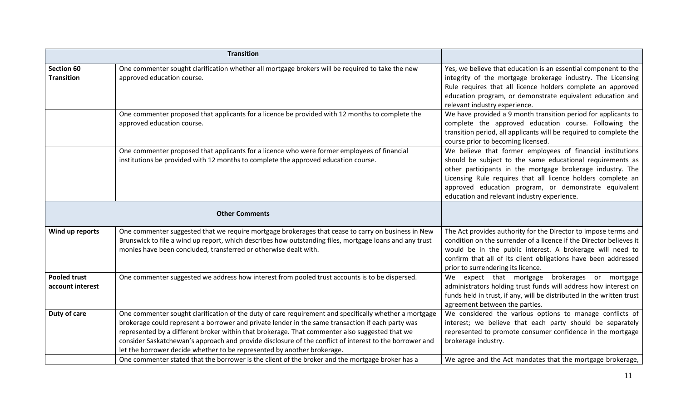|                                         | <b>Transition</b>                                                                                                                                                                                                                                                                                                                                                                                                                                                                                   |                                                                                                                                                                                                                                                                                                                                                               |
|-----------------------------------------|-----------------------------------------------------------------------------------------------------------------------------------------------------------------------------------------------------------------------------------------------------------------------------------------------------------------------------------------------------------------------------------------------------------------------------------------------------------------------------------------------------|---------------------------------------------------------------------------------------------------------------------------------------------------------------------------------------------------------------------------------------------------------------------------------------------------------------------------------------------------------------|
|                                         |                                                                                                                                                                                                                                                                                                                                                                                                                                                                                                     |                                                                                                                                                                                                                                                                                                                                                               |
| <b>Section 60</b><br><b>Transition</b>  | One commenter sought clarification whether all mortgage brokers will be required to take the new<br>approved education course.                                                                                                                                                                                                                                                                                                                                                                      | Yes, we believe that education is an essential component to the<br>integrity of the mortgage brokerage industry. The Licensing<br>Rule requires that all licence holders complete an approved<br>education program, or demonstrate equivalent education and<br>relevant industry experience.                                                                  |
|                                         | One commenter proposed that applicants for a licence be provided with 12 months to complete the<br>approved education course.                                                                                                                                                                                                                                                                                                                                                                       | We have provided a 9 month transition period for applicants to<br>complete the approved education course. Following the<br>transition period, all applicants will be required to complete the<br>course prior to becoming licensed.                                                                                                                           |
|                                         | One commenter proposed that applicants for a licence who were former employees of financial<br>institutions be provided with 12 months to complete the approved education course.                                                                                                                                                                                                                                                                                                                   | We believe that former employees of financial institutions<br>should be subject to the same educational requirements as<br>other participants in the mortgage brokerage industry. The<br>Licensing Rule requires that all licence holders complete an<br>approved education program, or demonstrate equivalent<br>education and relevant industry experience. |
|                                         | <b>Other Comments</b>                                                                                                                                                                                                                                                                                                                                                                                                                                                                               |                                                                                                                                                                                                                                                                                                                                                               |
| Wind up reports                         | One commenter suggested that we require mortgage brokerages that cease to carry on business in New<br>Brunswick to file a wind up report, which describes how outstanding files, mortgage loans and any trust<br>monies have been concluded, transferred or otherwise dealt with.                                                                                                                                                                                                                   | The Act provides authority for the Director to impose terms and<br>condition on the surrender of a licence if the Director believes it<br>would be in the public interest. A brokerage will need to<br>confirm that all of its client obligations have been addressed<br>prior to surrendering its licence.                                                   |
| <b>Pooled trust</b><br>account interest | One commenter suggested we address how interest from pooled trust accounts is to be dispersed.                                                                                                                                                                                                                                                                                                                                                                                                      | expect that mortgage brokerages or mortgage<br>We<br>administrators holding trust funds will address how interest on<br>funds held in trust, if any, will be distributed in the written trust<br>agreement between the parties.                                                                                                                               |
| Duty of care                            | One commenter sought clarification of the duty of care requirement and specifically whether a mortgage<br>brokerage could represent a borrower and private lender in the same transaction if each party was<br>represented by a different broker within that brokerage. That commenter also suggested that we<br>consider Saskatchewan's approach and provide disclosure of the conflict of interest to the borrower and<br>let the borrower decide whether to be represented by another brokerage. | We considered the various options to manage conflicts of<br>interest; we believe that each party should be separately<br>represented to promote consumer confidence in the mortgage<br>brokerage industry.                                                                                                                                                    |
|                                         | One commenter stated that the borrower is the client of the broker and the mortgage broker has a                                                                                                                                                                                                                                                                                                                                                                                                    | We agree and the Act mandates that the mortgage brokerage,                                                                                                                                                                                                                                                                                                    |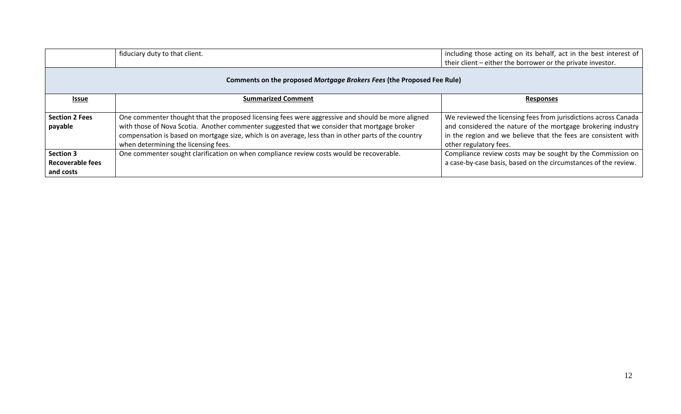|                                                                        | fiduciary duty to that client.                                                                                                                                                                                                                                                                                                                    | including those acting on its behalf, act in the best interest of<br>their client – either the borrower or the private investor.                                                                                            |
|------------------------------------------------------------------------|---------------------------------------------------------------------------------------------------------------------------------------------------------------------------------------------------------------------------------------------------------------------------------------------------------------------------------------------------|-----------------------------------------------------------------------------------------------------------------------------------------------------------------------------------------------------------------------------|
| Comments on the proposed Mortgage Brokers Fees (the Proposed Fee Rule) |                                                                                                                                                                                                                                                                                                                                                   |                                                                                                                                                                                                                             |
| <u>Issue</u>                                                           | <b>Summarized Comment</b>                                                                                                                                                                                                                                                                                                                         | <b>Responses</b>                                                                                                                                                                                                            |
| <b>Section 2 Fees</b><br>payable                                       | One commenter thought that the proposed licensing fees were aggressive and should be more aligned<br>with those of Nova Scotia. Another commenter suggested that we consider that mortgage broker<br>compensation is based on mortgage size, which is on average, less than in other parts of the country<br>when determining the licensing fees. | We reviewed the licensing fees from jurisdictions across Canada<br>and considered the nature of the mortgage brokering industry<br>in the region and we believe that the fees are consistent with<br>other regulatory fees. |
| <b>Section 3</b><br><b>Recoverable fees</b><br>and costs               | One commenter sought clarification on when compliance review costs would be recoverable.                                                                                                                                                                                                                                                          | Compliance review costs may be sought by the Commission on<br>a case-by-case basis, based on the circumstances of the review.                                                                                               |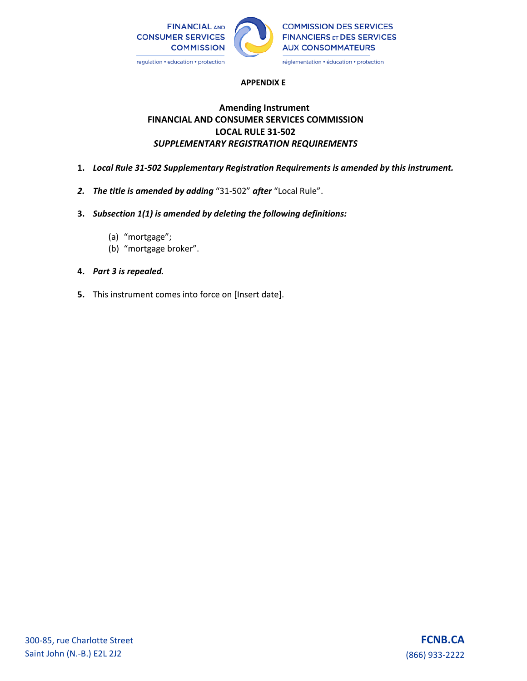

### **APPENDIX E**

# **Amending Instrument FINANCIAL AND CONSUMER SERVICES COMMISSION LOCAL RULE 31-502** *SUPPLEMENTARY REGISTRATION REQUIREMENTS*

- **1.** *Local Rule 31-502 Supplementary Registration Requirements is amended by this instrument.*
- *2. The title is amended by adding* "31-502" *after* "Local Rule".
- **3.** *Subsection 1(1) is amended by deleting the following definitions:* 
	- (a) "mortgage";
	- (b) "mortgage broker".
- **4.** *Part 3 is repealed.*
- **5.** This instrument comes into force on [Insert date].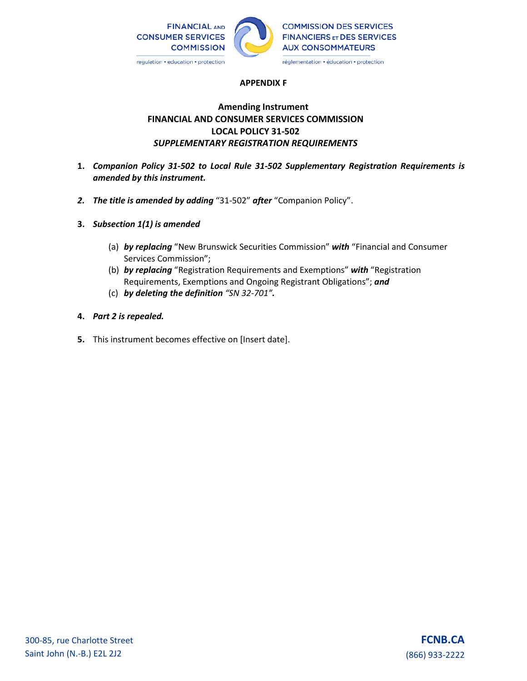

### **APPENDIX F**

# **Amending Instrument FINANCIAL AND CONSUMER SERVICES COMMISSION LOCAL POLICY 31-502**  *SUPPLEMENTARY REGISTRATION REQUIREMENTS*

- **1.** *Companion Policy 31-502 to Local Rule 31-502 Supplementary Registration Requirements is amended by this instrument.*
- *2. The title is amended by adding* "31-502" *after* "Companion Policy".
- **3.** *Subsection 1(1) is amended* 
	- (a) *by replacing* "New Brunswick Securities Commission" *with* "Financial and Consumer Services Commission";
	- (b) *by replacing* "Registration Requirements and Exemptions" *with* "Registration Requirements, Exemptions and Ongoing Registrant Obligations"; *and*
	- (c) *by deleting the definition "SN 32-701".*
- **4.** *Part 2 is repealed.*
- **5.** This instrument becomes effective on [Insert date].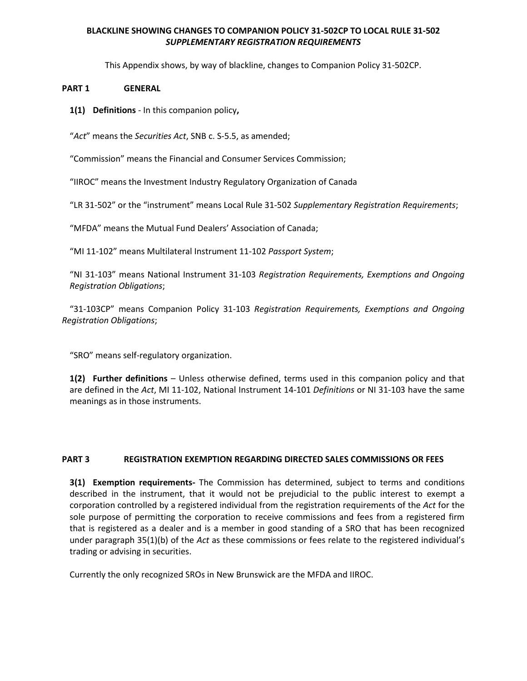## **BLACKLINE SHOWING CHANGES TO COMPANION POLICY 31-502CP TO LOCAL RULE 31-502** *SUPPLEMENTARY REGISTRATION REQUIREMENTS*

This Appendix shows, by way of blackline, changes to Companion Policy 31-502CP.

### **PART 1 GENERAL**

**1(1) Definitions** - In this companion policy**,** 

"*Act*" means the *Securities Act*, SNB c. S-5.5, as amended;

"Commission" means the Financial and Consumer Services Commission;

"IIROC" means the Investment Industry Regulatory Organization of Canada

"LR 31-502" or the "instrument" means Local Rule 31-502 *Supplementary Registration Requirements*;

"MFDA" means the Mutual Fund Dealers' Association of Canada;

"MI 11-102" means Multilateral Instrument 11-102 *Passport System*;

"NI 31-103" means National Instrument 31-103 *Registration Requirements, Exemptions and Ongoing Registration Obligations*;

"31-103CP" means Companion Policy 31-103 *Registration Requirements, Exemptions and Ongoing Registration Obligations*;

"SRO" means self-regulatory organization.

**1(2) Further definitions** – Unless otherwise defined, terms used in this companion policy and that are defined in the *Act*, MI 11-102, National Instrument 14-101 *Definitions* or NI 31-103 have the same meanings as in those instruments.

### **PART 3 REGISTRATION EXEMPTION REGARDING DIRECTED SALES COMMISSIONS OR FEES**

**3(1) Exemption requirements-** The Commission has determined, subject to terms and conditions described in the instrument, that it would not be prejudicial to the public interest to exempt a corporation controlled by a registered individual from the registration requirements of the *Act* for the sole purpose of permitting the corporation to receive commissions and fees from a registered firm that is registered as a dealer and is a member in good standing of a SRO that has been recognized under paragraph 35(1)(b) of the *Act* as these commissions or fees relate to the registered individual's trading or advising in securities.

Currently the only recognized SROs in New Brunswick are the MFDA and IIROC.